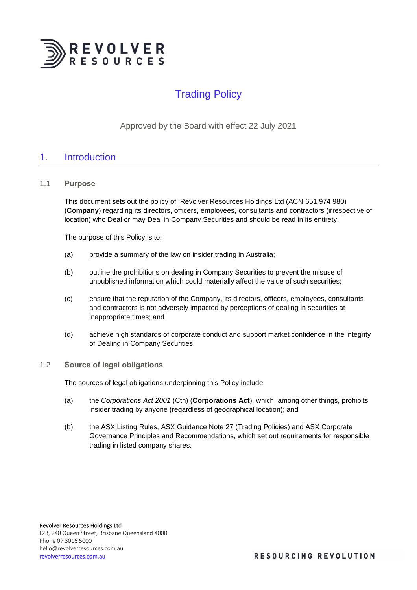

# Trading Policy

Approved by the Board with effect 22 July 2021

# 1. Introduction

### 1.1 **Purpose**

This document sets out the policy of [Revolver Resources Holdings Ltd (ACN 651 974 980) (**Company**) regarding its directors, officers, employees, consultants and contractors (irrespective of location) who Deal or may Deal in Company Securities and should be read in its entirety.

The purpose of this Policy is to:

- (a) provide a summary of the law on insider trading in Australia;
- (b) outline the prohibitions on dealing in Company Securities to prevent the misuse of unpublished information which could materially affect the value of such securities;
- (c) ensure that the reputation of the Company, its directors, officers, employees, consultants and contractors is not adversely impacted by perceptions of dealing in securities at inappropriate times; and
- (d) achieve high standards of corporate conduct and support market confidence in the integrity of Dealing in Company Securities.
- 1.2 **Source of legal obligations**

The sources of legal obligations underpinning this Policy include:

- (a) the *Corporations Act 2001* (Cth) (**Corporations Act**), which, among other things, prohibits insider trading by anyone (regardless of geographical location); and
- (b) the ASX Listing Rules, ASX Guidance Note 27 (Trading Policies) and ASX Corporate Governance Principles and Recommendations, which set out requirements for responsible trading in listed company shares.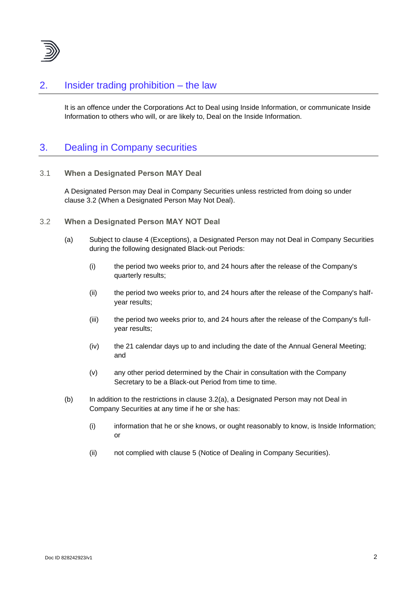

# 2. Insider trading prohibition – the law

It is an offence under the Corporations Act to Deal using Inside Information, or communicate Inside Information to others who will, or are likely to, Deal on the Inside Information.

# 3. Dealing in Company securities

3.1 **When a Designated Person MAY Deal**

A Designated Person may Deal in Company Securities unless restricted from doing so under clause [3.2](#page-1-0) (When a Designated Person May Not Deal).

- <span id="page-1-1"></span><span id="page-1-0"></span>3.2 **When a Designated Person MAY NOT Deal**
	- (a) Subject to clause [4](#page-2-0) (Exceptions), a Designated Person may not Deal in Company Securities during the following designated Black-out Periods:
		- (i) the period two weeks prior to, and 24 hours after the release of the Company's quarterly results;
		- (ii) the period two weeks prior to, and 24 hours after the release of the Company's halfyear results;
		- (iii) the period two weeks prior to, and 24 hours after the release of the Company's fullyear results;
		- (iv) the 21 calendar days up to and including the date of the Annual General Meeting; and
		- (v) any other period determined by the Chair in consultation with the Company Secretary to be a Black-out Period from time to time.
	- (b) In addition to the restrictions in clause [3.2\(a\),](#page-1-1) a Designated Person may not Deal in Company Securities at any time if he or she has:
		- (i) information that he or she knows, or ought reasonably to know, is Inside Information; or
		- (ii) not complied with clause [5](#page-4-0) (Notice of Dealing in Company Securities).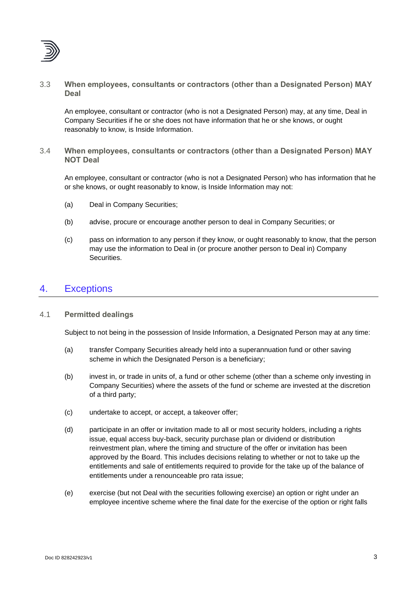

3.3 **When employees, consultants or contractors (other than a Designated Person) MAY Deal**

An employee, consultant or contractor (who is not a Designated Person) may, at any time, Deal in Company Securities if he or she does not have information that he or she knows, or ought reasonably to know, is Inside Information.

3.4 **When employees, consultants or contractors (other than a Designated Person) MAY NOT Deal**

An employee, consultant or contractor (who is not a Designated Person) who has information that he or she knows, or ought reasonably to know, is Inside Information may not:

- (a) Deal in Company Securities;
- (b) advise, procure or encourage another person to deal in Company Securities; or
- (c) pass on information to any person if they know, or ought reasonably to know, that the person may use the information to Deal in (or procure another person to Deal in) Company Securities.

# <span id="page-2-0"></span>4. Exceptions

### 4.1 **Permitted dealings**

Subject to not being in the possession of Inside Information, a Designated Person may at any time:

- (a) transfer Company Securities already held into a superannuation fund or other saving scheme in which the Designated Person is a beneficiary;
- (b) invest in, or trade in units of, a fund or other scheme (other than a scheme only investing in Company Securities) where the assets of the fund or scheme are invested at the discretion of a third party;
- (c) undertake to accept, or accept, a takeover offer;
- (d) participate in an offer or invitation made to all or most security holders, including a rights issue, equal access buy-back, security purchase plan or dividend or distribution reinvestment plan, where the timing and structure of the offer or invitation has been approved by the Board. This includes decisions relating to whether or not to take up the entitlements and sale of entitlements required to provide for the take up of the balance of entitlements under a renounceable pro rata issue;
- (e) exercise (but not Deal with the securities following exercise) an option or right under an employee incentive scheme where the final date for the exercise of the option or right falls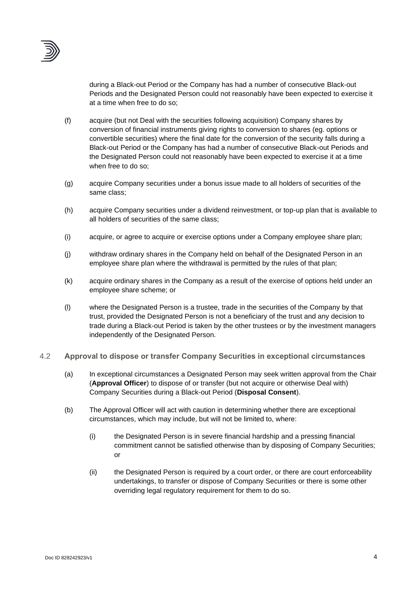

during a Black-out Period or the Company has had a number of consecutive Black-out Periods and the Designated Person could not reasonably have been expected to exercise it at a time when free to do so;

- (f) acquire (but not Deal with the securities following acquisition) Company shares by conversion of financial instruments giving rights to conversion to shares (eg. options or convertible securities) where the final date for the conversion of the security falls during a Black-out Period or the Company has had a number of consecutive Black-out Periods and the Designated Person could not reasonably have been expected to exercise it at a time when free to do so;
- (g) acquire Company securities under a bonus issue made to all holders of securities of the same class;
- (h) acquire Company securities under a dividend reinvestment, or top-up plan that is available to all holders of securities of the same class;
- (i) acquire, or agree to acquire or exercise options under a Company employee share plan;
- (j) withdraw ordinary shares in the Company held on behalf of the Designated Person in an employee share plan where the withdrawal is permitted by the rules of that plan;
- (k) acquire ordinary shares in the Company as a result of the exercise of options held under an employee share scheme; or
- (l) where the Designated Person is a trustee, trade in the securities of the Company by that trust, provided the Designated Person is not a beneficiary of the trust and any decision to trade during a Black-out Period is taken by the other trustees or by the investment managers independently of the Designated Person.
- <span id="page-3-1"></span><span id="page-3-0"></span>4.2 **Approval to dispose or transfer Company Securities in exceptional circumstances**
	- (a) In exceptional circumstances a Designated Person may seek written approval from the Chair (**Approval Officer**) to dispose of or transfer (but not acquire or otherwise Deal with) Company Securities during a Black-out Period (**Disposal Consent**).
	- (b) The Approval Officer will act with caution in determining whether there are exceptional circumstances, which may include, but will not be limited to, where:
		- (i) the Designated Person is in severe financial hardship and a pressing financial commitment cannot be satisfied otherwise than by disposing of Company Securities; or
		- (ii) the Designated Person is required by a court order, or there are court enforceability undertakings, to transfer or dispose of Company Securities or there is some other overriding legal regulatory requirement for them to do so.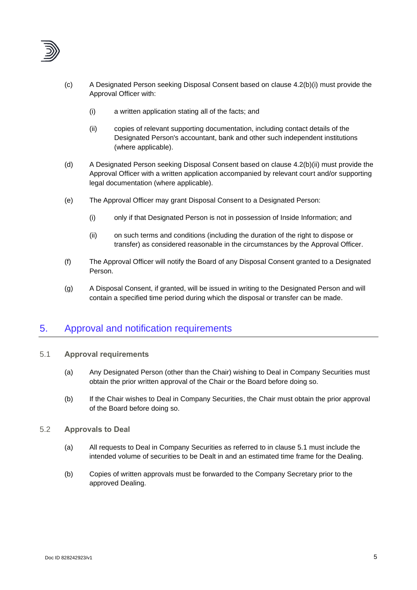

- (c) A Designated Person seeking Disposal Consent based on clause [4.2\(b\)\(i\)](#page-3-0) must provide the Approval Officer with:
	- (i) a written application stating all of the facts; and
	- (ii) copies of relevant supporting documentation, including contact details of the Designated Person's accountant, bank and other such independent institutions (where applicable).
- (d) A Designated Person seeking Disposal Consent based on clause [4.2\(b\)\(ii\)](#page-3-1) must provide the Approval Officer with a written application accompanied by relevant court and/or supporting legal documentation (where applicable).
- (e) The Approval Officer may grant Disposal Consent to a Designated Person:
	- (i) only if that Designated Person is not in possession of Inside Information; and
	- (ii) on such terms and conditions (including the duration of the right to dispose or transfer) as considered reasonable in the circumstances by the Approval Officer.
- (f) The Approval Officer will notify the Board of any Disposal Consent granted to a Designated Person.
- (g) A Disposal Consent, if granted, will be issued in writing to the Designated Person and will contain a specified time period during which the disposal or transfer can be made.

# <span id="page-4-0"></span>5. Approval and notification requirements

- <span id="page-4-1"></span>5.1 **Approval requirements**
	- (a) Any Designated Person (other than the Chair) wishing to Deal in Company Securities must obtain the prior written approval of the Chair or the Board before doing so.
	- (b) If the Chair wishes to Deal in Company Securities, the Chair must obtain the prior approval of the Board before doing so.
- <span id="page-4-2"></span>5.2 **Approvals to Deal**
	- (a) All requests to Deal in Company Securities as referred to in clause [5.1](#page-4-1) must include the intended volume of securities to be Dealt in and an estimated time frame for the Dealing.
	- (b) Copies of written approvals must be forwarded to the Company Secretary prior to the approved Dealing.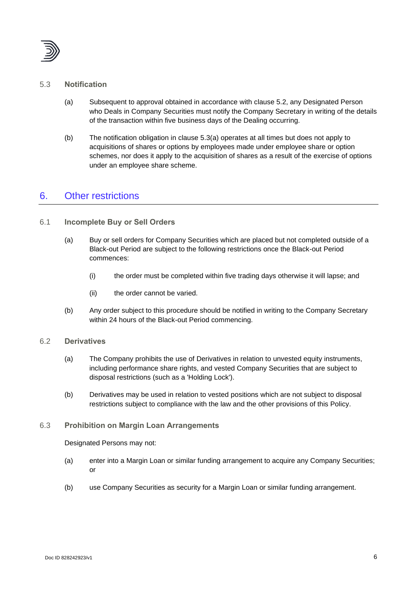

### <span id="page-5-0"></span>5.3 **Notification**

- (a) Subsequent to approval obtained in accordance with clause [5.2,](#page-4-2) any Designated Person who Deals in Company Securities must notify the Company Secretary in writing of the details of the transaction within five business days of the Dealing occurring.
- (b) The notification obligation in clause [5.3\(a\)](#page-5-0) operates at all times but does not apply to acquisitions of shares or options by employees made under employee share or option schemes, nor does it apply to the acquisition of shares as a result of the exercise of options under an employee share scheme.

## 6. Other restrictions

### 6.1 **Incomplete Buy or Sell Orders**

- (a) Buy or sell orders for Company Securities which are placed but not completed outside of a Black-out Period are subject to the following restrictions once the Black-out Period commences:
	- (i) the order must be completed within five trading days otherwise it will lapse; and
	- (ii) the order cannot be varied.
- (b) Any order subject to this procedure should be notified in writing to the Company Secretary within 24 hours of the Black-out Period commencing.

### 6.2 **Derivatives**

- (a) The Company prohibits the use of Derivatives in relation to unvested equity instruments, including performance share rights, and vested Company Securities that are subject to disposal restrictions (such as a 'Holding Lock').
- (b) Derivatives may be used in relation to vested positions which are not subject to disposal restrictions subject to compliance with the law and the other provisions of this Policy.

### 6.3 **Prohibition on Margin Loan Arrangements**

#### Designated Persons may not:

- (a) enter into a Margin Loan or similar funding arrangement to acquire any Company Securities; or
- (b) use Company Securities as security for a Margin Loan or similar funding arrangement.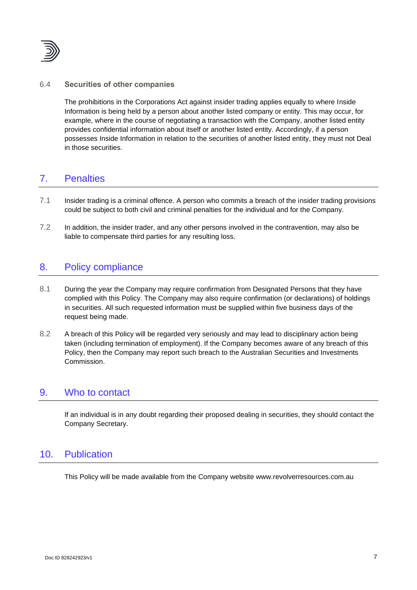

### 6.4 **Securities of other companies**

The prohibitions in the Corporations Act against insider trading applies equally to where Inside Information is being held by a person about another listed company or entity. This may occur, for example, where in the course of negotiating a transaction with the Company, another listed entity provides confidential information about itself or another listed entity. Accordingly, if a person possesses Inside Information in relation to the securities of another listed entity, they must not Deal in those securities.

# 7. Penalties

- 7.1 Insider trading is a criminal offence. A person who commits a breach of the insider trading provisions could be subject to both civil and criminal penalties for the individual and for the Company.
- 7.2 In addition, the insider trader, and any other persons involved in the contravention, may also be liable to compensate third parties for any resulting loss.

# 8. Policy compliance

- 8.1 During the year the Company may require confirmation from Designated Persons that they have complied with this Policy. The Company may also require confirmation (or declarations) of holdings in securities. All such requested information must be supplied within five business days of the request being made.
- 8.2 A breach of this Policy will be regarded very seriously and may lead to disciplinary action being taken (including termination of employment). If the Company becomes aware of any breach of this Policy, then the Company may report such breach to the Australian Securities and Investments Commission.

## 9. Who to contact

If an individual is in any doubt regarding their proposed dealing in securities, they should contact the Company Secretary.

## 10. Publication

This Policy will be made available from the Company website www.revolverresources.com.au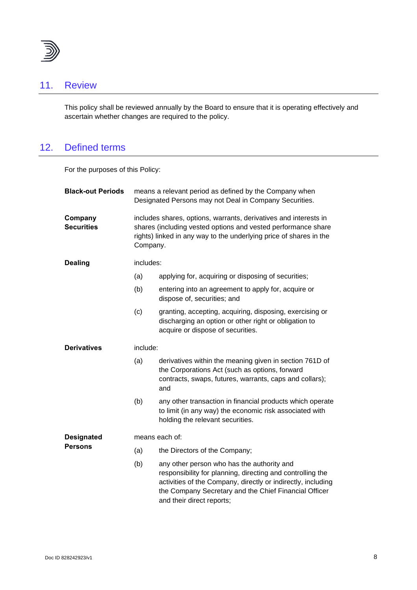

# 11. Review

This policy shall be reviewed annually by the Board to ensure that it is operating effectively and ascertain whether changes are required to the policy.

# 12. Defined terms

For the purposes of this Policy:

| <b>Black-out Periods</b>            | means a relevant period as defined by the Company when<br>Designated Persons may not Deal in Company Securities.                                                                                                    |                                                                                                                                                                                                                                                                |  |  |
|-------------------------------------|---------------------------------------------------------------------------------------------------------------------------------------------------------------------------------------------------------------------|----------------------------------------------------------------------------------------------------------------------------------------------------------------------------------------------------------------------------------------------------------------|--|--|
| Company<br><b>Securities</b>        | includes shares, options, warrants, derivatives and interests in<br>shares (including vested options and vested performance share<br>rights) linked in any way to the underlying price of shares in the<br>Company. |                                                                                                                                                                                                                                                                |  |  |
| <b>Dealing</b>                      | includes:                                                                                                                                                                                                           |                                                                                                                                                                                                                                                                |  |  |
|                                     | (a)                                                                                                                                                                                                                 | applying for, acquiring or disposing of securities;                                                                                                                                                                                                            |  |  |
|                                     | (b)                                                                                                                                                                                                                 | entering into an agreement to apply for, acquire or<br>dispose of, securities; and                                                                                                                                                                             |  |  |
|                                     | (c)                                                                                                                                                                                                                 | granting, accepting, acquiring, disposing, exercising or<br>discharging an option or other right or obligation to<br>acquire or dispose of securities.                                                                                                         |  |  |
| <b>Derivatives</b>                  | include:                                                                                                                                                                                                            |                                                                                                                                                                                                                                                                |  |  |
|                                     | (a)                                                                                                                                                                                                                 | derivatives within the meaning given in section 761D of<br>the Corporations Act (such as options, forward<br>contracts, swaps, futures, warrants, caps and collars);<br>and                                                                                    |  |  |
|                                     | (b)                                                                                                                                                                                                                 | any other transaction in financial products which operate<br>to limit (in any way) the economic risk associated with<br>holding the relevant securities.                                                                                                       |  |  |
| <b>Designated</b><br><b>Persons</b> | means each of:                                                                                                                                                                                                      |                                                                                                                                                                                                                                                                |  |  |
|                                     | (a)                                                                                                                                                                                                                 | the Directors of the Company;                                                                                                                                                                                                                                  |  |  |
|                                     | (b)                                                                                                                                                                                                                 | any other person who has the authority and<br>responsibility for planning, directing and controlling the<br>activities of the Company, directly or indirectly, including<br>the Company Secretary and the Chief Financial Officer<br>and their direct reports; |  |  |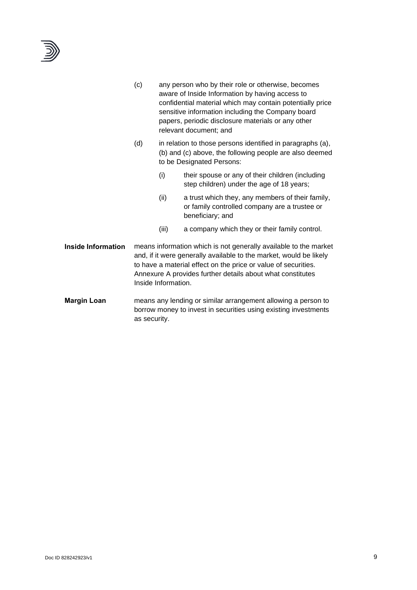

|                           | (c)                                                                                                                                                                                                                                                                                           | any person who by their role or otherwise, becomes<br>aware of Inside Information by having access to<br>confidential material which may contain potentially price<br>sensitive information including the Company board<br>papers, periodic disclosure materials or any other<br>relevant document; and<br>in relation to those persons identified in paragraphs (a),<br>(b) and (c) above, the following people are also deemed<br>to be Designated Persons: |                                                                                                                       |  |
|---------------------------|-----------------------------------------------------------------------------------------------------------------------------------------------------------------------------------------------------------------------------------------------------------------------------------------------|---------------------------------------------------------------------------------------------------------------------------------------------------------------------------------------------------------------------------------------------------------------------------------------------------------------------------------------------------------------------------------------------------------------------------------------------------------------|-----------------------------------------------------------------------------------------------------------------------|--|
|                           | (d)                                                                                                                                                                                                                                                                                           |                                                                                                                                                                                                                                                                                                                                                                                                                                                               |                                                                                                                       |  |
|                           |                                                                                                                                                                                                                                                                                               | (i)                                                                                                                                                                                                                                                                                                                                                                                                                                                           | their spouse or any of their children (including<br>step children) under the age of 18 years;                         |  |
|                           |                                                                                                                                                                                                                                                                                               | (ii)                                                                                                                                                                                                                                                                                                                                                                                                                                                          | a trust which they, any members of their family,<br>or family controlled company are a trustee or<br>beneficiary; and |  |
|                           |                                                                                                                                                                                                                                                                                               | (iii)                                                                                                                                                                                                                                                                                                                                                                                                                                                         | a company which they or their family control.                                                                         |  |
| <b>Inside Information</b> | means information which is not generally available to the market<br>and, if it were generally available to the market, would be likely<br>to have a material effect on the price or value of securities.<br>Annexure A provides further details about what constitutes<br>Inside Information. |                                                                                                                                                                                                                                                                                                                                                                                                                                                               |                                                                                                                       |  |
| <b>Margin Loan</b>        | means any lending or similar arrangement allowing a person to<br>borrow money to invest in securities using existing investments<br>as security.                                                                                                                                              |                                                                                                                                                                                                                                                                                                                                                                                                                                                               |                                                                                                                       |  |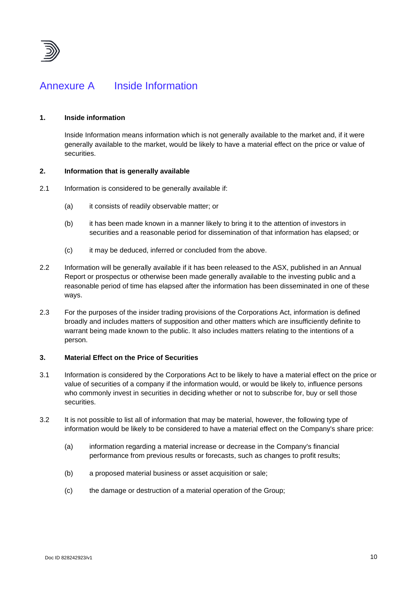

# <span id="page-9-0"></span>Annexure A Inside Information

### **1. Inside information**

Inside Information means information which is not generally available to the market and, if it were generally available to the market, would be likely to have a material effect on the price or value of securities.

#### **2. Information that is generally available**

- 2.1 Information is considered to be generally available if:
	- (a) it consists of readily observable matter; or
	- (b) it has been made known in a manner likely to bring it to the attention of investors in securities and a reasonable period for dissemination of that information has elapsed; or
	- (c) it may be deduced, inferred or concluded from the above.
- 2.2 Information will be generally available if it has been released to the ASX, published in an Annual Report or prospectus or otherwise been made generally available to the investing public and a reasonable period of time has elapsed after the information has been disseminated in one of these ways.
- 2.3 For the purposes of the insider trading provisions of the Corporations Act, information is defined broadly and includes matters of supposition and other matters which are insufficiently definite to warrant being made known to the public. It also includes matters relating to the intentions of a person.

### **3. Material Effect on the Price of Securities**

- 3.1 Information is considered by the Corporations Act to be likely to have a material effect on the price or value of securities of a company if the information would, or would be likely to, influence persons who commonly invest in securities in deciding whether or not to subscribe for, buy or sell those securities.
- 3.2 It is not possible to list all of information that may be material, however, the following type of information would be likely to be considered to have a material effect on the Company's share price:
	- (a) information regarding a material increase or decrease in the Company's financial performance from previous results or forecasts, such as changes to profit results;
	- (b) a proposed material business or asset acquisition or sale;
	- (c) the damage or destruction of a material operation of the Group;